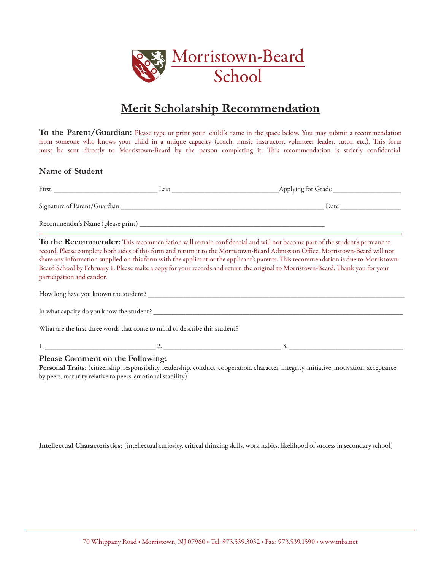

# **Merit Scholarship Recommendation**

**To the Parent/Guardian:** Please type or print your child's name in the space below. You may submit a recommendation from someone who knows your child in a unique capacity (coach, music instructor, volunteer leader, tutor, etc.). This form must be sent directly to Morristown-Beard by the person completing it. This recommendation is strictly confidential.

### **Name of Student**

| First                             | Last | _Applying for Grade |
|-----------------------------------|------|---------------------|
| Signature of Parent/Guardian      |      | Date                |
| Recommender's Name (please print) |      |                     |

**To the Recommender:** This recommendation will remain confidential and will not become part of the student's permanent record. Please complete both sides of this form and return it to the Morristown-Beard Admission Office. Morristown-Beard will not share any information supplied on this form with the applicant or the applicant's parents. This recommendation is due to Morristown-Beard School by February 1. Please make a copy for your records and return the original to Morristown-Beard. Thank you for your participation and candor.

| How long have you known the student?                                       |  |
|----------------------------------------------------------------------------|--|
| In what capcity do you know the student?                                   |  |
| What are the first three words that come to mind to describe this student? |  |

What are the first three words that come to mind to describe this student?

1. \_\_\_\_\_\_\_\_\_\_\_\_\_\_\_\_\_\_\_\_\_\_\_\_\_\_\_\_\_\_\_ 2. \_\_\_\_\_\_\_\_\_\_\_\_\_\_\_\_\_\_\_\_\_\_\_\_\_\_\_\_\_\_\_\_\_ 3. \_\_\_\_\_\_\_\_\_\_\_\_\_\_\_\_\_\_\_\_\_\_\_\_\_\_\_\_\_\_\_\_

## **Please Comment on the Following:**

**Personal Traits:** (citizenship, responsibility, leadership, conduct, cooperation, character, integrity, initiative, motivation, acceptance by peers, maturity relative to peers, emotional stability)

**Intellectual Characteristics:** (intellectual curiosity, critical thinking skills, work habits, likelihood of success in secondary school)